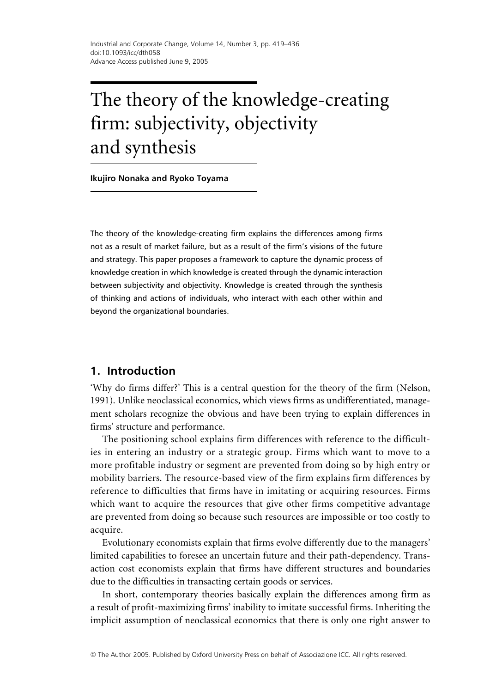# The theory of the knowledge-creating firm: subjectivity, objectivity and synthesis

**Ikujiro Nonaka and Ryoko Toyama** 

The theory of the knowledge-creating firm explains the differences among firms not as a result of market failure, but as a result of the firm's visions of the future and strategy. This paper proposes a framework to capture the dynamic process of knowledge creation in which knowledge is created through the dynamic interaction between subjectivity and objectivity. Knowledge is created through the synthesis of thinking and actions of individuals, who interact with each other within and beyond the organizational boundaries.

# **1. Introduction**

'Why do firms differ?' This is a central question for the theory of the firm (Nelson, 1991). Unlike neoclassical economics, which views firms as undifferentiated, management scholars recognize the obvious and have been trying to explain differences in firms' structure and performance.

The positioning school explains firm differences with reference to the difficulties in entering an industry or a strategic group. Firms which want to move to a more profitable industry or segment are prevented from doing so by high entry or mobility barriers. The resource-based view of the firm explains firm differences by reference to difficulties that firms have in imitating or acquiring resources. Firms which want to acquire the resources that give other firms competitive advantage are prevented from doing so because such resources are impossible or too costly to acquire.

Evolutionary economists explain that firms evolve differently due to the managers' limited capabilities to foresee an uncertain future and their path-dependency. Transaction cost economists explain that firms have different structures and boundaries due to the difficulties in transacting certain goods or services.

In short, contemporary theories basically explain the differences among firm as a result of profit-maximizing firms' inability to imitate successful firms. Inheriting the implicit assumption of neoclassical economics that there is only one right answer to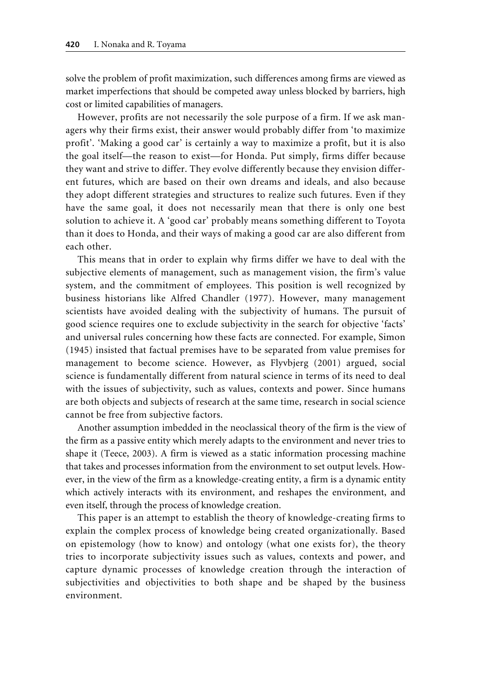solve the problem of profit maximization, such differences among firms are viewed as market imperfections that should be competed away unless blocked by barriers, high cost or limited capabilities of managers.

However, profits are not necessarily the sole purpose of a firm. If we ask managers why their firms exist, their answer would probably differ from 'to maximize profit'. 'Making a good car' is certainly a way to maximize a profit, but it is also the goal itself—the reason to exist—for Honda. Put simply, firms differ because they want and strive to differ. They evolve differently because they envision different futures, which are based on their own dreams and ideals, and also because they adopt different strategies and structures to realize such futures. Even if they have the same goal, it does not necessarily mean that there is only one best solution to achieve it. A 'good car' probably means something different to Toyota than it does to Honda, and their ways of making a good car are also different from each other.

This means that in order to explain why firms differ we have to deal with the subjective elements of management, such as management vision, the firm's value system, and the commitment of employees. This position is well recognized by business historians like Alfred Chandler (1977). However, many management scientists have avoided dealing with the subjectivity of humans. The pursuit of good science requires one to exclude subjectivity in the search for objective 'facts' and universal rules concerning how these facts are connected. For example, Simon (1945) insisted that factual premises have to be separated from value premises for management to become science. However, as Flyvbjerg (2001) argued, social science is fundamentally different from natural science in terms of its need to deal with the issues of subjectivity, such as values, contexts and power. Since humans are both objects and subjects of research at the same time, research in social science cannot be free from subjective factors.

Another assumption imbedded in the neoclassical theory of the firm is the view of the firm as a passive entity which merely adapts to the environment and never tries to shape it (Teece, 2003). A firm is viewed as a static information processing machine that takes and processes information from the environment to set output levels. However, in the view of the firm as a knowledge-creating entity, a firm is a dynamic entity which actively interacts with its environment, and reshapes the environment, and even itself, through the process of knowledge creation.

This paper is an attempt to establish the theory of knowledge-creating firms to explain the complex process of knowledge being created organizationally. Based on epistemology (how to know) and ontology (what one exists for), the theory tries to incorporate subjectivity issues such as values, contexts and power, and capture dynamic processes of knowledge creation through the interaction of subjectivities and objectivities to both shape and be shaped by the business environment.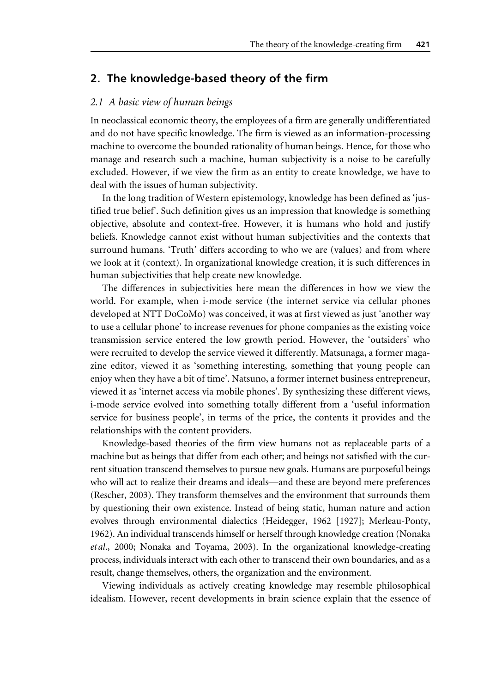# **2. The knowledge-based theory of the firm**

## *2.1 A basic view of human beings*

In neoclassical economic theory, the employees of a firm are generally undifferentiated and do not have specific knowledge. The firm is viewed as an information-processing machine to overcome the bounded rationality of human beings. Hence, for those who manage and research such a machine, human subjectivity is a noise to be carefully excluded. However, if we view the firm as an entity to create knowledge, we have to deal with the issues of human subjectivity.

In the long tradition of Western epistemology, knowledge has been defined as 'justified true belief'. Such definition gives us an impression that knowledge is something objective, absolute and context-free. However, it is humans who hold and justify beliefs. Knowledge cannot exist without human subjectivities and the contexts that surround humans. 'Truth' differs according to who we are (values) and from where we look at it (context). In organizational knowledge creation, it is such differences in human subjectivities that help create new knowledge.

The differences in subjectivities here mean the differences in how we view the world. For example, when i-mode service (the internet service via cellular phones developed at NTT DoCoMo) was conceived, it was at first viewed as just 'another way to use a cellular phone' to increase revenues for phone companies as the existing voice transmission service entered the low growth period. However, the 'outsiders' who were recruited to develop the service viewed it differently. Matsunaga, a former magazine editor, viewed it as 'something interesting, something that young people can enjoy when they have a bit of time'. Natsuno, a former internet business entrepreneur, viewed it as 'internet access via mobile phones'. By synthesizing these different views, i-mode service evolved into something totally different from a 'useful information service for business people', in terms of the price, the contents it provides and the relationships with the content providers.

Knowledge-based theories of the firm view humans not as replaceable parts of a machine but as beings that differ from each other; and beings not satisfied with the current situation transcend themselves to pursue new goals. Humans are purposeful beings who will act to realize their dreams and ideals—and these are beyond mere preferences (Rescher, 2003). They transform themselves and the environment that surrounds them by questioning their own existence. Instead of being static, human nature and action evolves through environmental dialectics (Heidegger, 1962 [1927]; Merleau-Ponty, 1962). An individual transcends himself or herself through knowledge creation (Nonaka *et al*., 2000; Nonaka and Toyama, 2003). In the organizational knowledge-creating process, individuals interact with each other to transcend their own boundaries, and as a result, change themselves, others, the organization and the environment.

Viewing individuals as actively creating knowledge may resemble philosophical idealism. However, recent developments in brain science explain that the essence of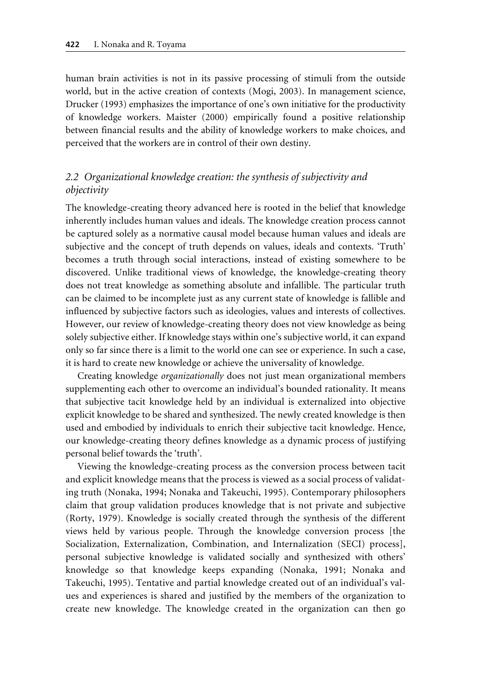human brain activities is not in its passive processing of stimuli from the outside world, but in the active creation of contexts (Mogi, 2003). In management science, Drucker (1993) emphasizes the importance of one's own initiative for the productivity of knowledge workers. Maister (2000) empirically found a positive relationship between financial results and the ability of knowledge workers to make choices, and perceived that the workers are in control of their own destiny.

# *2.2 Organizational knowledge creation: the synthesis of subjectivity and objectivity*

The knowledge-creating theory advanced here is rooted in the belief that knowledge inherently includes human values and ideals. The knowledge creation process cannot be captured solely as a normative causal model because human values and ideals are subjective and the concept of truth depends on values, ideals and contexts. 'Truth' becomes a truth through social interactions, instead of existing somewhere to be discovered. Unlike traditional views of knowledge, the knowledge-creating theory does not treat knowledge as something absolute and infallible. The particular truth can be claimed to be incomplete just as any current state of knowledge is fallible and influenced by subjective factors such as ideologies, values and interests of collectives. However, our review of knowledge-creating theory does not view knowledge as being solely subjective either. If knowledge stays within one's subjective world, it can expand only so far since there is a limit to the world one can see or experience. In such a case, it is hard to create new knowledge or achieve the universality of knowledge.

Creating knowledge *organizationally* does not just mean organizational members supplementing each other to overcome an individual's bounded rationality. It means that subjective tacit knowledge held by an individual is externalized into objective explicit knowledge to be shared and synthesized. The newly created knowledge is then used and embodied by individuals to enrich their subjective tacit knowledge. Hence, our knowledge-creating theory defines knowledge as a dynamic process of justifying personal belief towards the 'truth'.

Viewing the knowledge-creating process as the conversion process between tacit and explicit knowledge means that the process is viewed as a social process of validating truth (Nonaka, 1994; Nonaka and Takeuchi, 1995). Contemporary philosophers claim that group validation produces knowledge that is not private and subjective (Rorty, 1979). Knowledge is socially created through the synthesis of the different views held by various people. Through the knowledge conversion process [the Socialization, Externalization, Combination, and Internalization (SECI) process], personal subjective knowledge is validated socially and synthesized with others' knowledge so that knowledge keeps expanding (Nonaka, 1991; Nonaka and Takeuchi, 1995). Tentative and partial knowledge created out of an individual's values and experiences is shared and justified by the members of the organization to create new knowledge. The knowledge created in the organization can then go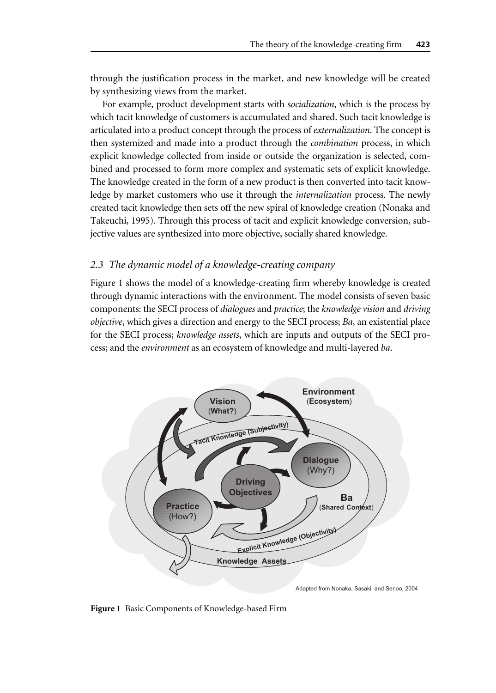through the justification process in the market, and new knowledge will be created by synthesizing views from the market.

For example, product development starts with s*ocialization*, which is the process by which tacit knowledge of customers is accumulated and shared. Such tacit knowledge is articulated into a product concept through the process of *externalization*. The concept is then systemized and made into a product through the *combination* process, in which explicit knowledge collected from inside or outside the organization is selected, combined and processed to form more complex and systematic sets of explicit knowledge. The knowledge created in the form of a new product is then converted into tacit knowledge by market customers who use it through the *internalization* process. The newly created tacit knowledge then sets off the new spiral of knowledge creation (Nonaka and Takeuchi, 1995). Through this process of tacit and explicit knowledge conversion, subjective values are synthesized into more objective, socially shared knowledge.

## *2.3 The dynamic model of a knowledge-creating company*

Figure 1 shows the model of a knowledge-creating firm whereby knowledge is created through dynamic interactions with the environment. The model consists of seven basic components: the SECI process of *dialogues* and *practice*; the *knowledge vision* and *driving objective*, which gives a direction and energy to the SECI process; *Ba*, an existential place for the SECI process; *knowledge assets*, which are inputs and outputs of the SECI process; and the *environment* as an ecosystem of knowledge and multi-layered *ba*.



**Figure 1** Basic Components of Knowledge-based Firm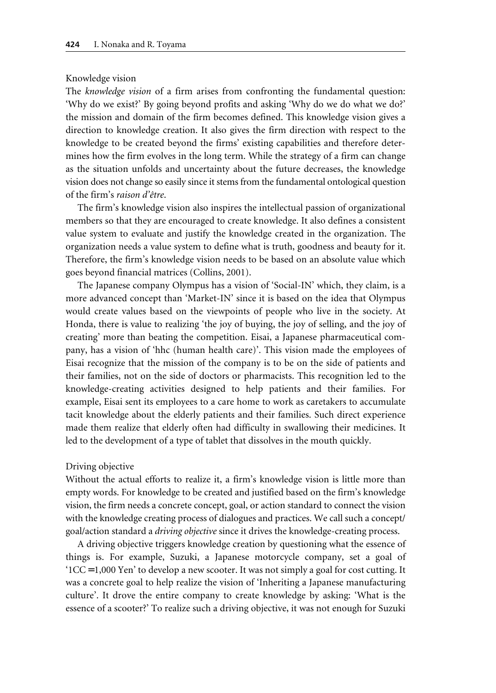#### Knowledge vision

The *knowledge vision* of a firm arises from confronting the fundamental question: 'Why do we exist?' By going beyond profits and asking 'Why do we do what we do?' the mission and domain of the firm becomes defined. This knowledge vision gives a direction to knowledge creation. It also gives the firm direction with respect to the knowledge to be created beyond the firms' existing capabilities and therefore determines how the firm evolves in the long term. While the strategy of a firm can change as the situation unfolds and uncertainty about the future decreases, the knowledge vision does not change so easily since it stems from the fundamental ontological question of the firm's *raison d'être*.

The firm's knowledge vision also inspires the intellectual passion of organizational members so that they are encouraged to create knowledge. It also defines a consistent value system to evaluate and justify the knowledge created in the organization. The organization needs a value system to define what is truth, goodness and beauty for it. Therefore, the firm's knowledge vision needs to be based on an absolute value which goes beyond financial matrices (Collins, 2001).

The Japanese company Olympus has a vision of 'Social-IN' which, they claim, is a more advanced concept than 'Market-IN' since it is based on the idea that Olympus would create values based on the viewpoints of people who live in the society. At Honda, there is value to realizing 'the joy of buying, the joy of selling, and the joy of creating' more than beating the competition. Eisai, a Japanese pharmaceutical company, has a vision of 'hhc (human health care)'. This vision made the employees of Eisai recognize that the mission of the company is to be on the side of patients and their families, not on the side of doctors or pharmacists. This recognition led to the knowledge-creating activities designed to help patients and their families. For example, Eisai sent its employees to a care home to work as caretakers to accumulate tacit knowledge about the elderly patients and their families. Such direct experience made them realize that elderly often had difficulty in swallowing their medicines. It led to the development of a type of tablet that dissolves in the mouth quickly.

#### Driving objective

Without the actual efforts to realize it, a firm's knowledge vision is little more than empty words. For knowledge to be created and justified based on the firm's knowledge vision, the firm needs a concrete concept, goal, or action standard to connect the vision with the knowledge creating process of dialogues and practices. We call such a concept/ goal/action standard a *driving objective* since it drives the knowledge-creating process.

A driving objective triggers knowledge creation by questioning what the essence of things is. For example, Suzuki, a Japanese motorcycle company, set a goal of  $^{\prime}1CC = 1,000$  Yen' to develop a new scooter. It was not simply a goal for cost cutting. It was a concrete goal to help realize the vision of 'Inheriting a Japanese manufacturing culture'. It drove the entire company to create knowledge by asking: 'What is the essence of a scooter?' To realize such a driving objective, it was not enough for Suzuki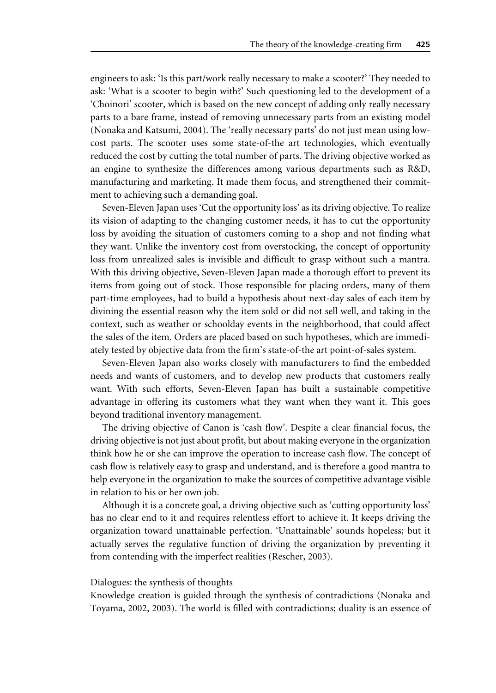engineers to ask: 'Is this part/work really necessary to make a scooter?' They needed to ask: 'What is a scooter to begin with?' Such questioning led to the development of a 'Choinori' scooter, which is based on the new concept of adding only really necessary parts to a bare frame, instead of removing unnecessary parts from an existing model (Nonaka and Katsumi, 2004). The 'really necessary parts' do not just mean using lowcost parts. The scooter uses some state-of-the art technologies, which eventually reduced the cost by cutting the total number of parts. The driving objective worked as an engine to synthesize the differences among various departments such as R&D, manufacturing and marketing. It made them focus, and strengthened their commitment to achieving such a demanding goal.

Seven-Eleven Japan uses 'Cut the opportunity loss' as its driving objective. To realize its vision of adapting to the changing customer needs, it has to cut the opportunity loss by avoiding the situation of customers coming to a shop and not finding what they want. Unlike the inventory cost from overstocking, the concept of opportunity loss from unrealized sales is invisible and difficult to grasp without such a mantra. With this driving objective, Seven-Eleven Japan made a thorough effort to prevent its items from going out of stock. Those responsible for placing orders, many of them part-time employees, had to build a hypothesis about next-day sales of each item by divining the essential reason why the item sold or did not sell well, and taking in the context, such as weather or schoolday events in the neighborhood, that could affect the sales of the item. Orders are placed based on such hypotheses, which are immediately tested by objective data from the firm's state-of-the art point-of-sales system.

Seven-Eleven Japan also works closely with manufacturers to find the embedded needs and wants of customers, and to develop new products that customers really want. With such efforts, Seven-Eleven Japan has built a sustainable competitive advantage in offering its customers what they want when they want it. This goes beyond traditional inventory management.

The driving objective of Canon is 'cash flow'. Despite a clear financial focus, the driving objective is not just about profit, but about making everyone in the organization think how he or she can improve the operation to increase cash flow. The concept of cash flow is relatively easy to grasp and understand, and is therefore a good mantra to help everyone in the organization to make the sources of competitive advantage visible in relation to his or her own job.

Although it is a concrete goal, a driving objective such as 'cutting opportunity loss' has no clear end to it and requires relentless effort to achieve it. It keeps driving the organization toward unattainable perfection. 'Unattainable' sounds hopeless; but it actually serves the regulative function of driving the organization by preventing it from contending with the imperfect realities (Rescher, 2003).

#### Dialogues: the synthesis of thoughts

Knowledge creation is guided through the synthesis of contradictions (Nonaka and Toyama, 2002, 2003). The world is filled with contradictions; duality is an essence of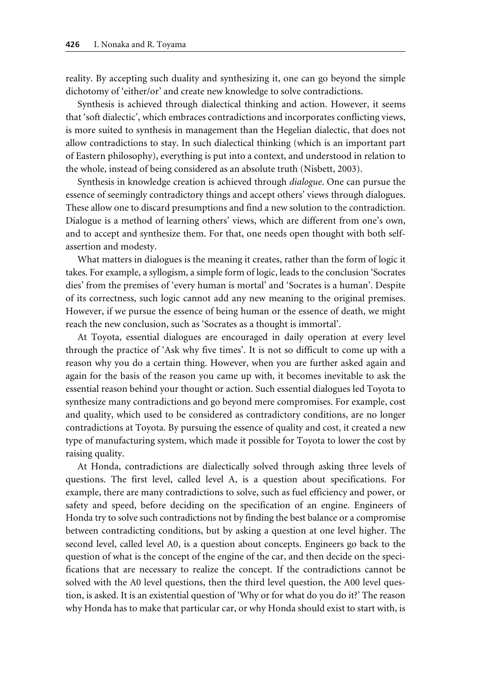reality. By accepting such duality and synthesizing it, one can go beyond the simple dichotomy of 'either/or' and create new knowledge to solve contradictions.

Synthesis is achieved through dialectical thinking and action. However, it seems that 'soft dialectic', which embraces contradictions and incorporates conflicting views, is more suited to synthesis in management than the Hegelian dialectic, that does not allow contradictions to stay. In such dialectical thinking (which is an important part of Eastern philosophy), everything is put into a context, and understood in relation to the whole, instead of being considered as an absolute truth (Nisbett, 2003).

Synthesis in knowledge creation is achieved through *dialogue*. One can pursue the essence of seemingly contradictory things and accept others' views through dialogues. These allow one to discard presumptions and find a new solution to the contradiction. Dialogue is a method of learning others' views, which are different from one's own, and to accept and synthesize them. For that, one needs open thought with both selfassertion and modesty.

What matters in dialogues is the meaning it creates, rather than the form of logic it takes. For example, a syllogism, a simple form of logic, leads to the conclusion 'Socrates dies' from the premises of 'every human is mortal' and 'Socrates is a human'. Despite of its correctness, such logic cannot add any new meaning to the original premises. However, if we pursue the essence of being human or the essence of death, we might reach the new conclusion, such as 'Socrates as a thought is immortal'.

At Toyota, essential dialogues are encouraged in daily operation at every level through the practice of 'Ask why five times'. It is not so difficult to come up with a reason why you do a certain thing. However, when you are further asked again and again for the basis of the reason you came up with, it becomes inevitable to ask the essential reason behind your thought or action. Such essential dialogues led Toyota to synthesize many contradictions and go beyond mere compromises. For example, cost and quality, which used to be considered as contradictory conditions, are no longer contradictions at Toyota. By pursuing the essence of quality and cost, it created a new type of manufacturing system, which made it possible for Toyota to lower the cost by raising quality.

At Honda, contradictions are dialectically solved through asking three levels of questions. The first level, called level A, is a question about specifications. For example, there are many contradictions to solve, such as fuel efficiency and power, or safety and speed, before deciding on the specification of an engine. Engineers of Honda try to solve such contradictions not by finding the best balance or a compromise between contradicting conditions, but by asking a question at one level higher. The second level, called level A0, is a question about concepts. Engineers go back to the question of what is the concept of the engine of the car, and then decide on the specifications that are necessary to realize the concept. If the contradictions cannot be solved with the A0 level questions, then the third level question, the A00 level question, is asked. It is an existential question of 'Why or for what do you do it?' The reason why Honda has to make that particular car, or why Honda should exist to start with, is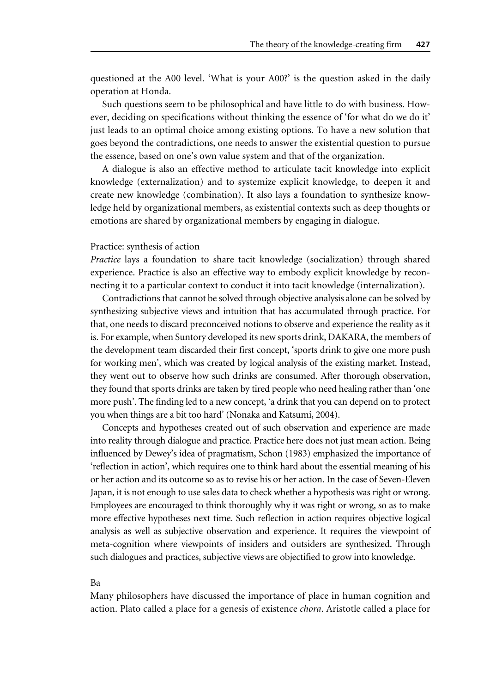questioned at the A00 level. 'What is your A00?' is the question asked in the daily operation at Honda.

Such questions seem to be philosophical and have little to do with business. However, deciding on specifications without thinking the essence of 'for what do we do it' just leads to an optimal choice among existing options. To have a new solution that goes beyond the contradictions, one needs to answer the existential question to pursue the essence, based on one's own value system and that of the organization.

A dialogue is also an effective method to articulate tacit knowledge into explicit knowledge (externalization) and to systemize explicit knowledge, to deepen it and create new knowledge (combination). It also lays a foundation to synthesize knowledge held by organizational members, as existential contexts such as deep thoughts or emotions are shared by organizational members by engaging in dialogue.

#### Practice: synthesis of action

*Practice* lays a foundation to share tacit knowledge (socialization) through shared experience. Practice is also an effective way to embody explicit knowledge by reconnecting it to a particular context to conduct it into tacit knowledge (internalization).

Contradictions that cannot be solved through objective analysis alone can be solved by synthesizing subjective views and intuition that has accumulated through practice. For that, one needs to discard preconceived notions to observe and experience the reality as it is. For example, when Suntory developed its new sports drink, DAKARA, the members of the development team discarded their first concept, 'sports drink to give one more push for working men', which was created by logical analysis of the existing market. Instead, they went out to observe how such drinks are consumed. After thorough observation, they found that sports drinks are taken by tired people who need healing rather than 'one more push'. The finding led to a new concept, 'a drink that you can depend on to protect you when things are a bit too hard' (Nonaka and Katsumi, 2004).

Concepts and hypotheses created out of such observation and experience are made into reality through dialogue and practice. Practice here does not just mean action. Being influenced by Dewey's idea of pragmatism, Schon (1983) emphasized the importance of 'reflection in action', which requires one to think hard about the essential meaning of his or her action and its outcome so as to revise his or her action. In the case of Seven-Eleven Japan, it is not enough to use sales data to check whether a hypothesis was right or wrong. Employees are encouraged to think thoroughly why it was right or wrong, so as to make more effective hypotheses next time. Such reflection in action requires objective logical analysis as well as subjective observation and experience. It requires the viewpoint of meta-cognition where viewpoints of insiders and outsiders are synthesized. Through such dialogues and practices, subjective views are objectified to grow into knowledge.

#### Ba

Many philosophers have discussed the importance of place in human cognition and action. Plato called a place for a genesis of existence *chora*. Aristotle called a place for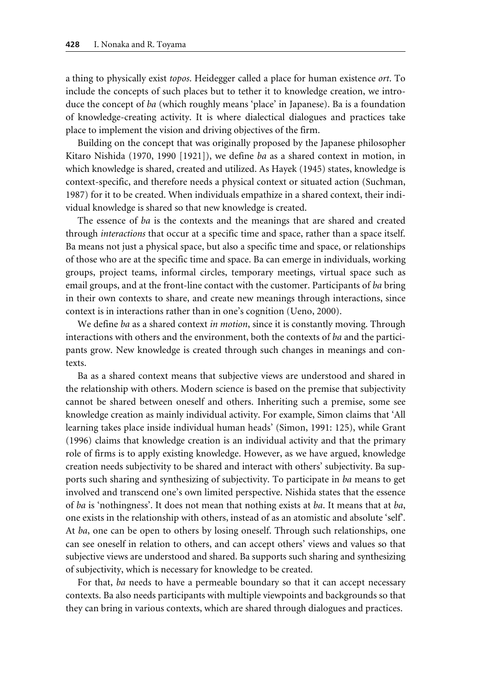a thing to physically exist *topos*. Heidegger called a place for human existence *ort*. To include the concepts of such places but to tether it to knowledge creation, we introduce the concept of *ba* (which roughly means 'place' in Japanese). Ba is a foundation of knowledge-creating activity. It is where dialectical dialogues and practices take place to implement the vision and driving objectives of the firm.

Building on the concept that was originally proposed by the Japanese philosopher Kitaro Nishida (1970, 1990 [1921]), we define *ba* as a shared context in motion, in which knowledge is shared, created and utilized. As Hayek (1945) states, knowledge is context-specific, and therefore needs a physical context or situated action (Suchman, 1987) for it to be created. When individuals empathize in a shared context, their individual knowledge is shared so that new knowledge is created.

The essence of *ba* is the contexts and the meanings that are shared and created through *interactions* that occur at a specific time and space, rather than a space itself. Ba means not just a physical space, but also a specific time and space, or relationships of those who are at the specific time and space. Ba can emerge in individuals, working groups, project teams, informal circles, temporary meetings, virtual space such as email groups, and at the front-line contact with the customer. Participants of *ba* bring in their own contexts to share, and create new meanings through interactions, since context is in interactions rather than in one's cognition (Ueno, 2000).

We define *ba* as a shared context *in motion*, since it is constantly moving. Through interactions with others and the environment, both the contexts of *ba* and the participants grow. New knowledge is created through such changes in meanings and contexts.

Ba as a shared context means that subjective views are understood and shared in the relationship with others. Modern science is based on the premise that subjectivity cannot be shared between oneself and others. Inheriting such a premise, some see knowledge creation as mainly individual activity. For example, Simon claims that 'All learning takes place inside individual human heads' (Simon, 1991: 125), while Grant (1996) claims that knowledge creation is an individual activity and that the primary role of firms is to apply existing knowledge. However, as we have argued, knowledge creation needs subjectivity to be shared and interact with others' subjectivity. Ba supports such sharing and synthesizing of subjectivity. To participate in *ba* means to get involved and transcend one's own limited perspective. Nishida states that the essence of *ba* is 'nothingness'. It does not mean that nothing exists at *ba*. It means that at *ba*, one exists in the relationship with others, instead of as an atomistic and absolute 'self'. At *ba*, one can be open to others by losing oneself. Through such relationships, one can see oneself in relation to others, and can accept others' views and values so that subjective views are understood and shared. Ba supports such sharing and synthesizing of subjectivity, which is necessary for knowledge to be created.

For that, *ba* needs to have a permeable boundary so that it can accept necessary contexts. Ba also needs participants with multiple viewpoints and backgrounds so that they can bring in various contexts, which are shared through dialogues and practices.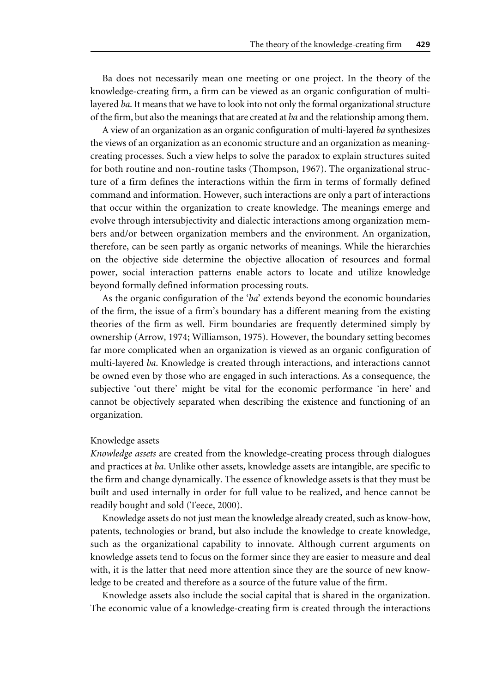Ba does not necessarily mean one meeting or one project. In the theory of the knowledge-creating firm, a firm can be viewed as an organic configuration of multilayered *ba*. It means that we have to look into not only the formal organizational structure of the firm, but also the meanings that are created at *ba* and the relationship among them.

A view of an organization as an organic configuration of multi-layered *ba* synthesizes the views of an organization as an economic structure and an organization as meaningcreating processes. Such a view helps to solve the paradox to explain structures suited for both routine and non-routine tasks (Thompson, 1967). The organizational structure of a firm defines the interactions within the firm in terms of formally defined command and information. However, such interactions are only a part of interactions that occur within the organization to create knowledge. The meanings emerge and evolve through intersubjectivity and dialectic interactions among organization members and/or between organization members and the environment. An organization, therefore, can be seen partly as organic networks of meanings. While the hierarchies on the objective side determine the objective allocation of resources and formal power, social interaction patterns enable actors to locate and utilize knowledge beyond formally defined information processing routs.

As the organic configuration of the '*ba*' extends beyond the economic boundaries of the firm, the issue of a firm's boundary has a different meaning from the existing theories of the firm as well. Firm boundaries are frequently determined simply by ownership (Arrow, 1974; Williamson, 1975). However, the boundary setting becomes far more complicated when an organization is viewed as an organic configuration of multi-layered *ba*. Knowledge is created through interactions, and interactions cannot be owned even by those who are engaged in such interactions. As a consequence, the subjective 'out there' might be vital for the economic performance 'in here' and cannot be objectively separated when describing the existence and functioning of an organization.

#### Knowledge assets

*Knowledge assets* are created from the knowledge-creating process through dialogues and practices at *ba*. Unlike other assets, knowledge assets are intangible, are specific to the firm and change dynamically. The essence of knowledge assets is that they must be built and used internally in order for full value to be realized, and hence cannot be readily bought and sold (Teece, 2000).

Knowledge assets do not just mean the knowledge already created, such as know-how, patents, technologies or brand, but also include the knowledge to create knowledge, such as the organizational capability to innovate. Although current arguments on knowledge assets tend to focus on the former since they are easier to measure and deal with, it is the latter that need more attention since they are the source of new knowledge to be created and therefore as a source of the future value of the firm.

Knowledge assets also include the social capital that is shared in the organization. The economic value of a knowledge-creating firm is created through the interactions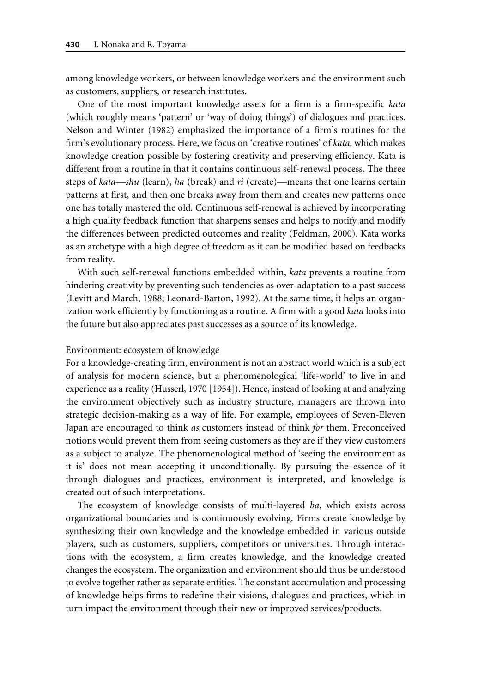among knowledge workers, or between knowledge workers and the environment such as customers, suppliers, or research institutes.

One of the most important knowledge assets for a firm is a firm-specific *kata* (which roughly means 'pattern' or 'way of doing things') of dialogues and practices. Nelson and Winter (1982) emphasized the importance of a firm's routines for the firm's evolutionary process. Here, we focus on 'creative routines' of *kata*, which makes knowledge creation possible by fostering creativity and preserving efficiency. Kata is different from a routine in that it contains continuous self-renewal process. The three steps of *kata*—*shu* (learn), *ha* (break) and *ri* (create)—means that one learns certain patterns at first, and then one breaks away from them and creates new patterns once one has totally mastered the old. Continuous self-renewal is achieved by incorporating a high quality feedback function that sharpens senses and helps to notify and modify the differences between predicted outcomes and reality (Feldman, 2000). Kata works as an archetype with a high degree of freedom as it can be modified based on feedbacks from reality.

With such self-renewal functions embedded within, *kata* prevents a routine from hindering creativity by preventing such tendencies as over-adaptation to a past success (Levitt and March, 1988; Leonard-Barton, 1992). At the same time, it helps an organization work efficiently by functioning as a routine. A firm with a good *kata* looks into the future but also appreciates past successes as a source of its knowledge.

#### Environment: ecosystem of knowledge

For a knowledge-creating firm, environment is not an abstract world which is a subject of analysis for modern science, but a phenomenological 'life-world' to live in and experience as a reality (Husserl, 1970 [1954]). Hence, instead of looking at and analyzing the environment objectively such as industry structure, managers are thrown into strategic decision-making as a way of life. For example, employees of Seven-Eleven Japan are encouraged to think *as* customers instead of think *for* them. Preconceived notions would prevent them from seeing customers as they are if they view customers as a subject to analyze. The phenomenological method of 'seeing the environment as it is' does not mean accepting it unconditionally. By pursuing the essence of it through dialogues and practices, environment is interpreted, and knowledge is created out of such interpretations.

The ecosystem of knowledge consists of multi-layered *ba*, which exists across organizational boundaries and is continuously evolving. Firms create knowledge by synthesizing their own knowledge and the knowledge embedded in various outside players, such as customers, suppliers, competitors or universities. Through interactions with the ecosystem, a firm creates knowledge, and the knowledge created changes the ecosystem. The organization and environment should thus be understood to evolve together rather as separate entities. The constant accumulation and processing of knowledge helps firms to redefine their visions, dialogues and practices, which in turn impact the environment through their new or improved services/products.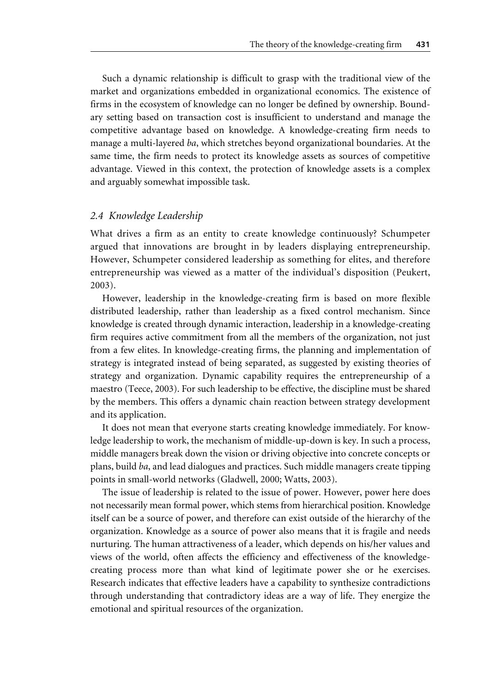Such a dynamic relationship is difficult to grasp with the traditional view of the market and organizations embedded in organizational economics. The existence of firms in the ecosystem of knowledge can no longer be defined by ownership. Boundary setting based on transaction cost is insufficient to understand and manage the competitive advantage based on knowledge. A knowledge-creating firm needs to manage a multi-layered *ba*, which stretches beyond organizational boundaries. At the same time, the firm needs to protect its knowledge assets as sources of competitive advantage. Viewed in this context, the protection of knowledge assets is a complex and arguably somewhat impossible task.

## *2.4 Knowledge Leadership*

What drives a firm as an entity to create knowledge continuously? Schumpeter argued that innovations are brought in by leaders displaying entrepreneurship. However, Schumpeter considered leadership as something for elites, and therefore entrepreneurship was viewed as a matter of the individual's disposition (Peukert, 2003).

However, leadership in the knowledge-creating firm is based on more flexible distributed leadership, rather than leadership as a fixed control mechanism. Since knowledge is created through dynamic interaction, leadership in a knowledge-creating firm requires active commitment from all the members of the organization, not just from a few elites. In knowledge-creating firms, the planning and implementation of strategy is integrated instead of being separated, as suggested by existing theories of strategy and organization. Dynamic capability requires the entrepreneurship of a maestro (Teece, 2003). For such leadership to be effective, the discipline must be shared by the members. This offers a dynamic chain reaction between strategy development and its application.

It does not mean that everyone starts creating knowledge immediately. For knowledge leadership to work, the mechanism of middle-up-down is key. In such a process, middle managers break down the vision or driving objective into concrete concepts or plans, build *ba*, and lead dialogues and practices. Such middle managers create tipping points in small-world networks (Gladwell, 2000; Watts, 2003).

The issue of leadership is related to the issue of power. However, power here does not necessarily mean formal power, which stems from hierarchical position. Knowledge itself can be a source of power, and therefore can exist outside of the hierarchy of the organization. Knowledge as a source of power also means that it is fragile and needs nurturing. The human attractiveness of a leader, which depends on his/her values and views of the world, often affects the efficiency and effectiveness of the knowledgecreating process more than what kind of legitimate power she or he exercises. Research indicates that effective leaders have a capability to synthesize contradictions through understanding that contradictory ideas are a way of life. They energize the emotional and spiritual resources of the organization.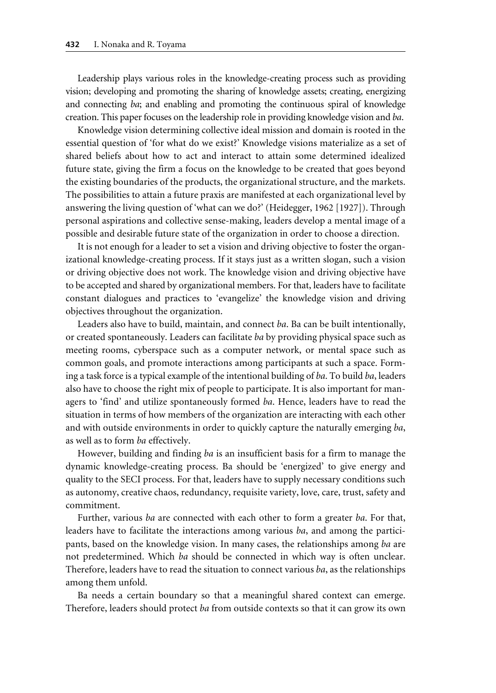Leadership plays various roles in the knowledge-creating process such as providing vision; developing and promoting the sharing of knowledge assets; creating, energizing and connecting *ba*; and enabling and promoting the continuous spiral of knowledge creation. This paper focuses on the leadership role in providing knowledge vision and *ba*.

Knowledge vision determining collective ideal mission and domain is rooted in the essential question of 'for what do we exist?' Knowledge visions materialize as a set of shared beliefs about how to act and interact to attain some determined idealized future state, giving the firm a focus on the knowledge to be created that goes beyond the existing boundaries of the products, the organizational structure, and the markets. The possibilities to attain a future praxis are manifested at each organizational level by answering the living question of 'what can we do?' (Heidegger, 1962 [1927]). Through personal aspirations and collective sense-making, leaders develop a mental image of a possible and desirable future state of the organization in order to choose a direction.

It is not enough for a leader to set a vision and driving objective to foster the organizational knowledge-creating process. If it stays just as a written slogan, such a vision or driving objective does not work. The knowledge vision and driving objective have to be accepted and shared by organizational members. For that, leaders have to facilitate constant dialogues and practices to 'evangelize' the knowledge vision and driving objectives throughout the organization.

Leaders also have to build, maintain, and connect *ba*. Ba can be built intentionally, or created spontaneously. Leaders can facilitate *ba* by providing physical space such as meeting rooms, cyberspace such as a computer network, or mental space such as common goals, and promote interactions among participants at such a space. Forming a task force is a typical example of the intentional building of *ba*. To build *ba*, leaders also have to choose the right mix of people to participate. It is also important for managers to 'find' and utilize spontaneously formed *ba*. Hence, leaders have to read the situation in terms of how members of the organization are interacting with each other and with outside environments in order to quickly capture the naturally emerging *ba*, as well as to form *ba* effectively.

However, building and finding *ba* is an insufficient basis for a firm to manage the dynamic knowledge-creating process. Ba should be 'energized' to give energy and quality to the SECI process. For that, leaders have to supply necessary conditions such as autonomy, creative chaos, redundancy, requisite variety, love, care, trust, safety and commitment.

Further, various *ba* are connected with each other to form a greater *ba*. For that, leaders have to facilitate the interactions among various *ba*, and among the participants, based on the knowledge vision. In many cases, the relationships among *ba* are not predetermined. Which *ba* should be connected in which way is often unclear. Therefore, leaders have to read the situation to connect various *ba*, as the relationships among them unfold.

Ba needs a certain boundary so that a meaningful shared context can emerge. Therefore, leaders should protect *ba* from outside contexts so that it can grow its own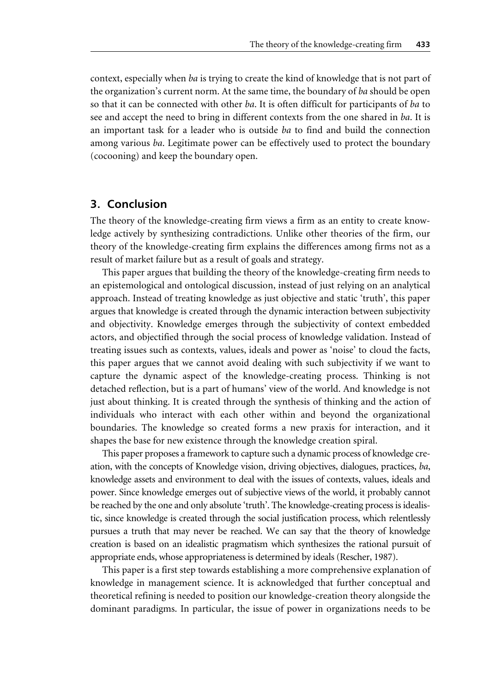context, especially when *ba* is trying to create the kind of knowledge that is not part of the organization's current norm. At the same time, the boundary of *ba* should be open so that it can be connected with other *ba*. It is often difficult for participants of *ba* to see and accept the need to bring in different contexts from the one shared in *ba*. It is an important task for a leader who is outside *ba* to find and build the connection among various *ba*. Legitimate power can be effectively used to protect the boundary (cocooning) and keep the boundary open.

## **3. Conclusion**

The theory of the knowledge-creating firm views a firm as an entity to create knowledge actively by synthesizing contradictions. Unlike other theories of the firm, our theory of the knowledge-creating firm explains the differences among firms not as a result of market failure but as a result of goals and strategy.

This paper argues that building the theory of the knowledge-creating firm needs to an epistemological and ontological discussion, instead of just relying on an analytical approach. Instead of treating knowledge as just objective and static 'truth', this paper argues that knowledge is created through the dynamic interaction between subjectivity and objectivity. Knowledge emerges through the subjectivity of context embedded actors, and objectified through the social process of knowledge validation. Instead of treating issues such as contexts, values, ideals and power as 'noise' to cloud the facts, this paper argues that we cannot avoid dealing with such subjectivity if we want to capture the dynamic aspect of the knowledge-creating process. Thinking is not detached reflection, but is a part of humans' view of the world. And knowledge is not just about thinking. It is created through the synthesis of thinking and the action of individuals who interact with each other within and beyond the organizational boundaries. The knowledge so created forms a new praxis for interaction, and it shapes the base for new existence through the knowledge creation spiral.

This paper proposes a framework to capture such a dynamic process of knowledge creation, with the concepts of Knowledge vision, driving objectives, dialogues, practices, *ba*, knowledge assets and environment to deal with the issues of contexts, values, ideals and power. Since knowledge emerges out of subjective views of the world, it probably cannot be reached by the one and only absolute 'truth'. The knowledge-creating process is idealistic, since knowledge is created through the social justification process, which relentlessly pursues a truth that may never be reached. We can say that the theory of knowledge creation is based on an idealistic pragmatism which synthesizes the rational pursuit of appropriate ends, whose appropriateness is determined by ideals (Rescher, 1987).

This paper is a first step towards establishing a more comprehensive explanation of knowledge in management science. It is acknowledged that further conceptual and theoretical refining is needed to position our knowledge-creation theory alongside the dominant paradigms. In particular, the issue of power in organizations needs to be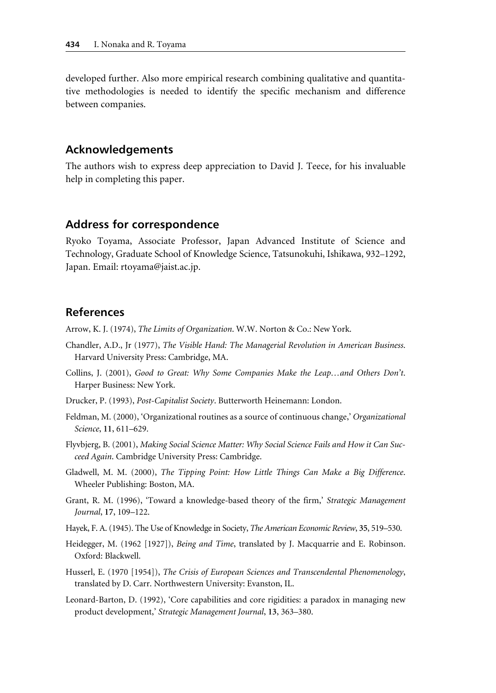developed further. Also more empirical research combining qualitative and quantitative methodologies is needed to identify the specific mechanism and difference between companies.

## **Acknowledgements**

The authors wish to express deep appreciation to David J. Teece, for his invaluable help in completing this paper.

# **Address for correspondence**

Ryoko Toyama, Associate Professor, Japan Advanced Institute of Science and Technology, Graduate School of Knowledge Science, Tatsunokuhi, Ishikawa, 932–1292, Japan. Email: rtoyama@jaist.ac.jp.

## **References**

Arrow, K. J. (1974), *The Limits of Organization*. W.W. Norton & Co.: New York.

- Chandler, A.D., Jr (1977), *The Visible Hand: The Managerial Revolution in American Business*. Harvard University Press: Cambridge, MA.
- Collins, J. (2001), *Good to Great: Why Some Companies Make the Leap…and Others Don't*. Harper Business: New York.
- Drucker, P. (1993), *Post-Capitalist Society*. Butterworth Heinemann: London.
- Feldman, M. (2000), 'Organizational routines as a source of continuous change,' *Organizational Science*, **11**, 611–629.
- Flyvbjerg, B. (2001), *Making Social Science Matter: Why Social Science Fails and How it Can Succeed Again*. Cambridge University Press: Cambridge.
- Gladwell, M. M. (2000), *The Tipping Point: How Little Things Can Make a Big Difference*. Wheeler Publishing: Boston, MA.
- Grant, R. M. (1996), 'Toward a knowledge-based theory of the firm,' *Strategic Management Journal*, **17**, 109–122.
- Hayek, F. A. (1945). The Use of Knowledge in Society, *The American Economic Review*, **35**, 519–530.
- Heidegger, M. (1962 [1927]), *Being and Time*, translated by J. Macquarrie and E. Robinson. Oxford: Blackwell.
- Husserl, E. (1970 [1954]), *The Crisis of European Sciences and Transcendental Phenomenology*, translated by D. Carr. Northwestern University: Evanston, IL.
- Leonard-Barton, D. (1992), 'Core capabilities and core rigidities: a paradox in managing new product development,' *Strategic Management Journal*, **13**, 363–380.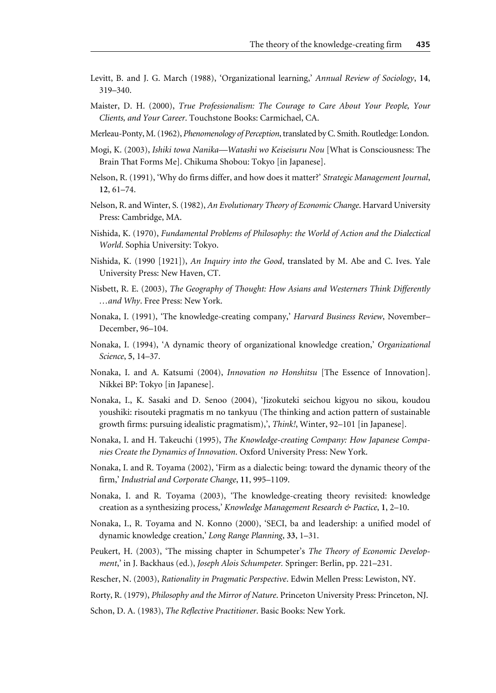- Levitt, B. and J. G. March (1988), 'Organizational learning,' *Annual Review of Sociology*, **14**, 319–340.
- Maister, D. H. (2000), *True Professionalism: The Courage to Care About Your People, Your Clients, and Your Career*. Touchstone Books: Carmichael, CA.
- Merleau-Ponty, M. (1962), *Phenomenology of Perception*, translated by C. Smith. Routledge: London.
- Mogi, K. (2003), *Ishiki towa Nanika—Watashi wo Keiseisuru Nou* [What is Consciousness: The Brain That Forms Me]. Chikuma Shobou: Tokyo [in Japanese].
- Nelson, R. (1991), 'Why do firms differ, and how does it matter?' *Strategic Management Journal*, **12**, 61–74.
- Nelson, R. and Winter, S. (1982), *An Evolutionary Theory of Economic Change*. Harvard University Press: Cambridge, MA.
- Nishida, K. (1970), *Fundamental Problems of Philosophy: the World of Action and the Dialectical World*. Sophia University: Tokyo.
- Nishida, K. (1990 [1921]), *An Inquiry into the Good*, translated by M. Abe and C. Ives. Yale University Press: New Haven, CT.
- Nisbett, R. E. (2003), *The Geography of Thought: How Asians and Westerners Think Differently …and Why*. Free Press: New York.
- Nonaka, I. (1991), 'The knowledge-creating company,' *Harvard Business Review*, November– December, 96–104.
- Nonaka, I. (1994), 'A dynamic theory of organizational knowledge creation,' *Organizational Science*, **5**, 14–37.
- Nonaka, I. and A. Katsumi (2004), *Innovation no Honshitsu* [The Essence of Innovation]. Nikkei BP: Tokyo [in Japanese].
- Nonaka, I., K. Sasaki and D. Senoo (2004), 'Jizokuteki seichou kigyou no sikou, koudou youshiki: risouteki pragmatis m no tankyuu (The thinking and action pattern of sustainable growth firms: pursuing idealistic pragmatism),', *Think!*, Winter, 92–101 [in Japanese].
- Nonaka, I. and H. Takeuchi (1995), *The Knowledge-creating Company: How Japanese Companies Create the Dynamics of Innovation*. Oxford University Press: New York.
- Nonaka, I. and R. Toyama (2002), 'Firm as a dialectic being: toward the dynamic theory of the firm,' *Industrial and Corporate Change*, **11**, 995–1109.
- Nonaka, I. and R. Toyama (2003), 'The knowledge-creating theory revisited: knowledge creation as a synthesizing process,' *Knowledge Management Research & Pactice*, **1**, 2–10.
- Nonaka, I., R. Toyama and N. Konno (2000), 'SECI, ba and leadership: a unified model of dynamic knowledge creation,' *Long Range Planning*, **33**, 1–31.
- Peukert, H. (2003), 'The missing chapter in Schumpeter's *The Theory of Economic Development*,' in J. Backhaus (ed.), *Joseph Alois Schumpeter.* Springer: Berlin, pp. 221–231.
- Rescher, N. (2003), *Rationality in Pragmatic Perspective*. Edwin Mellen Press: Lewiston, NY.
- Rorty, R. (1979), *Philosophy and the Mirror of Nature*. Princeton University Press: Princeton, NJ.

Schon, D. A. (1983), *The Reflective Practitioner*. Basic Books: New York.